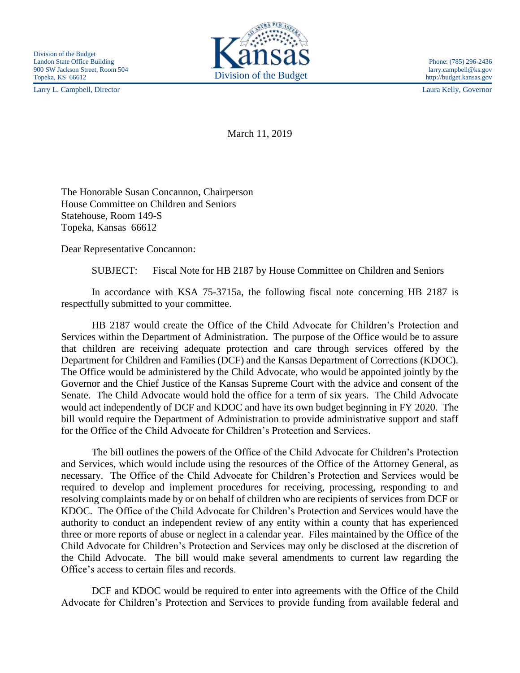Larry L. Campbell, Director Laura Kelly, Governor



March 11, 2019

The Honorable Susan Concannon, Chairperson House Committee on Children and Seniors Statehouse, Room 149-S Topeka, Kansas 66612

Dear Representative Concannon:

SUBJECT: Fiscal Note for HB 2187 by House Committee on Children and Seniors

In accordance with KSA 75-3715a, the following fiscal note concerning HB 2187 is respectfully submitted to your committee.

HB 2187 would create the Office of the Child Advocate for Children's Protection and Services within the Department of Administration. The purpose of the Office would be to assure that children are receiving adequate protection and care through services offered by the Department for Children and Families (DCF) and the Kansas Department of Corrections (KDOC). The Office would be administered by the Child Advocate, who would be appointed jointly by the Governor and the Chief Justice of the Kansas Supreme Court with the advice and consent of the Senate. The Child Advocate would hold the office for a term of six years. The Child Advocate would act independently of DCF and KDOC and have its own budget beginning in FY 2020. The bill would require the Department of Administration to provide administrative support and staff for the Office of the Child Advocate for Children's Protection and Services.

The bill outlines the powers of the Office of the Child Advocate for Children's Protection and Services, which would include using the resources of the Office of the Attorney General, as necessary. The Office of the Child Advocate for Children's Protection and Services would be required to develop and implement procedures for receiving, processing, responding to and resolving complaints made by or on behalf of children who are recipients of services from DCF or KDOC. The Office of the Child Advocate for Children's Protection and Services would have the authority to conduct an independent review of any entity within a county that has experienced three or more reports of abuse or neglect in a calendar year. Files maintained by the Office of the Child Advocate for Children's Protection and Services may only be disclosed at the discretion of the Child Advocate. The bill would make several amendments to current law regarding the Office's access to certain files and records.

DCF and KDOC would be required to enter into agreements with the Office of the Child Advocate for Children's Protection and Services to provide funding from available federal and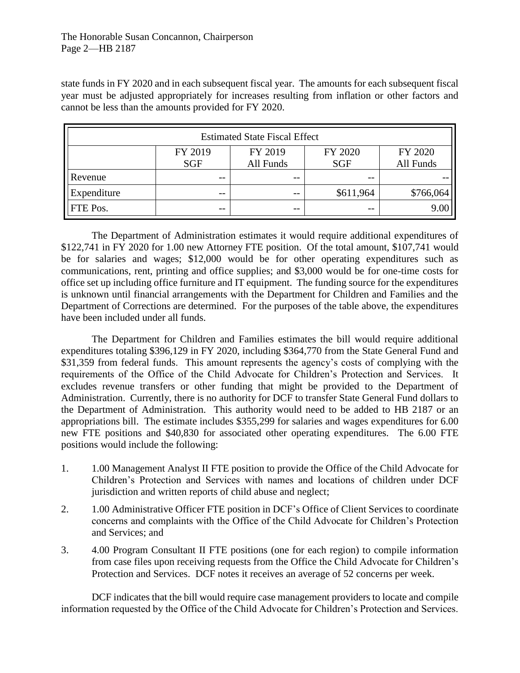state funds in FY 2020 and in each subsequent fiscal year. The amounts for each subsequent fiscal year must be adjusted appropriately for increases resulting from inflation or other factors and cannot be less than the amounts provided for FY 2020.

| <b>Estimated State Fiscal Effect</b> |            |           |            |           |
|--------------------------------------|------------|-----------|------------|-----------|
|                                      | FY 2019    | FY 2019   | FY 2020    | FY 2020   |
|                                      | <b>SGF</b> | All Funds | <b>SGF</b> | All Funds |
| Revenue                              | --         | $- -$     |            |           |
| Expenditure                          | --         | $ -$      | \$611,964  | \$766,064 |
| FTE Pos.                             | --         | $- -$     |            | 9.00      |

The Department of Administration estimates it would require additional expenditures of \$122,741 in FY 2020 for 1.00 new Attorney FTE position. Of the total amount, \$107,741 would be for salaries and wages; \$12,000 would be for other operating expenditures such as communications, rent, printing and office supplies; and \$3,000 would be for one-time costs for office set up including office furniture and IT equipment. The funding source for the expenditures is unknown until financial arrangements with the Department for Children and Families and the Department of Corrections are determined. For the purposes of the table above, the expenditures have been included under all funds.

The Department for Children and Families estimates the bill would require additional expenditures totaling \$396,129 in FY 2020, including \$364,770 from the State General Fund and \$31,359 from federal funds. This amount represents the agency's costs of complying with the requirements of the Office of the Child Advocate for Children's Protection and Services. It excludes revenue transfers or other funding that might be provided to the Department of Administration. Currently, there is no authority for DCF to transfer State General Fund dollars to the Department of Administration. This authority would need to be added to HB 2187 or an appropriations bill. The estimate includes \$355,299 for salaries and wages expenditures for 6.00 new FTE positions and \$40,830 for associated other operating expenditures. The 6.00 FTE positions would include the following:

- 1. 1.00 Management Analyst II FTE position to provide the Office of the Child Advocate for Children's Protection and Services with names and locations of children under DCF jurisdiction and written reports of child abuse and neglect;
- 2. 1.00 Administrative Officer FTE position in DCF's Office of Client Services to coordinate concerns and complaints with the Office of the Child Advocate for Children's Protection and Services; and
- 3. 4.00 Program Consultant II FTE positions (one for each region) to compile information from case files upon receiving requests from the Office the Child Advocate for Children's Protection and Services. DCF notes it receives an average of 52 concerns per week.

DCF indicates that the bill would require case management providers to locate and compile information requested by the Office of the Child Advocate for Children's Protection and Services.